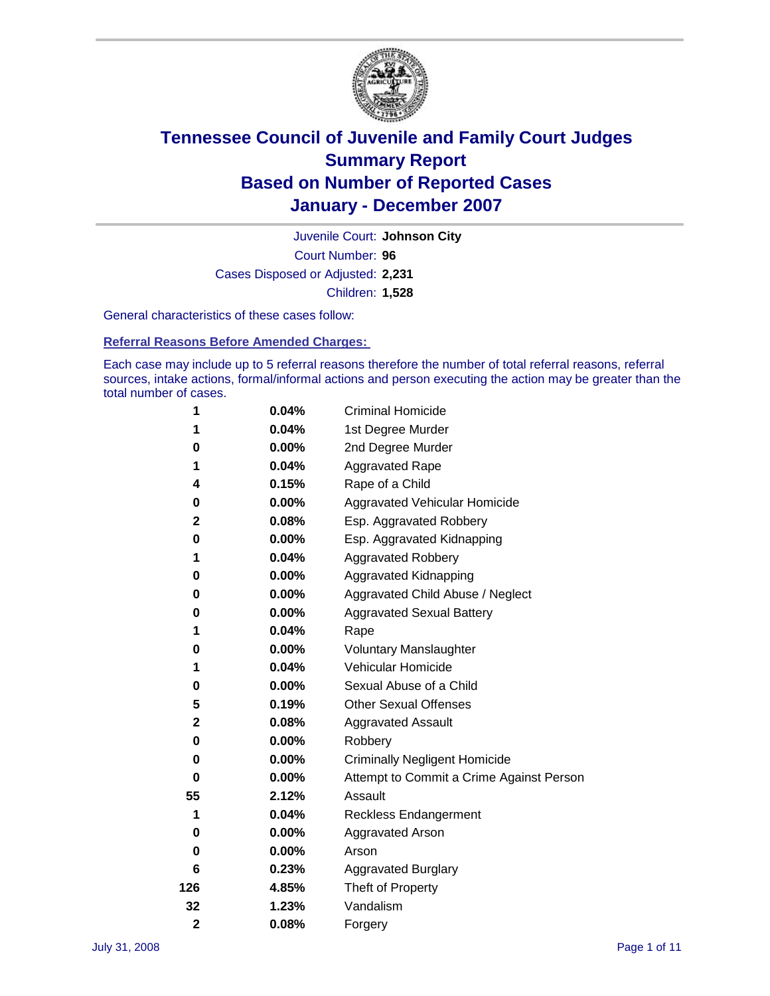

Court Number: **96** Juvenile Court: **Johnson City** Cases Disposed or Adjusted: **2,231** Children: **1,528**

General characteristics of these cases follow:

**Referral Reasons Before Amended Charges:** 

Each case may include up to 5 referral reasons therefore the number of total referral reasons, referral sources, intake actions, formal/informal actions and person executing the action may be greater than the total number of cases.

| 1           | 0.04%    | <b>Criminal Homicide</b>                 |
|-------------|----------|------------------------------------------|
| 1           | 0.04%    | 1st Degree Murder                        |
| 0           | $0.00\%$ | 2nd Degree Murder                        |
| 1           | 0.04%    | <b>Aggravated Rape</b>                   |
| 4           | 0.15%    | Rape of a Child                          |
| 0           | $0.00\%$ | Aggravated Vehicular Homicide            |
| 2           | 0.08%    | Esp. Aggravated Robbery                  |
| 0           | $0.00\%$ | Esp. Aggravated Kidnapping               |
| 1           | 0.04%    | <b>Aggravated Robbery</b>                |
| 0           | 0.00%    | Aggravated Kidnapping                    |
| 0           | $0.00\%$ | Aggravated Child Abuse / Neglect         |
| 0           | 0.00%    | <b>Aggravated Sexual Battery</b>         |
| 1           | 0.04%    | Rape                                     |
| 0           | 0.00%    | <b>Voluntary Manslaughter</b>            |
| 1           | 0.04%    | Vehicular Homicide                       |
| 0           | $0.00\%$ | Sexual Abuse of a Child                  |
| 5           | 0.19%    | <b>Other Sexual Offenses</b>             |
| 2           | 0.08%    | <b>Aggravated Assault</b>                |
| 0           | 0.00%    | Robbery                                  |
| 0           | $0.00\%$ | <b>Criminally Negligent Homicide</b>     |
| 0           | 0.00%    | Attempt to Commit a Crime Against Person |
| 55          | 2.12%    | Assault                                  |
| 1           | 0.04%    | <b>Reckless Endangerment</b>             |
| 0           | 0.00%    | <b>Aggravated Arson</b>                  |
| 0           | $0.00\%$ | Arson                                    |
| 6           | 0.23%    | <b>Aggravated Burglary</b>               |
| 126         | 4.85%    | Theft of Property                        |
| 32          | 1.23%    | Vandalism                                |
| $\mathbf 2$ | 0.08%    | Forgery                                  |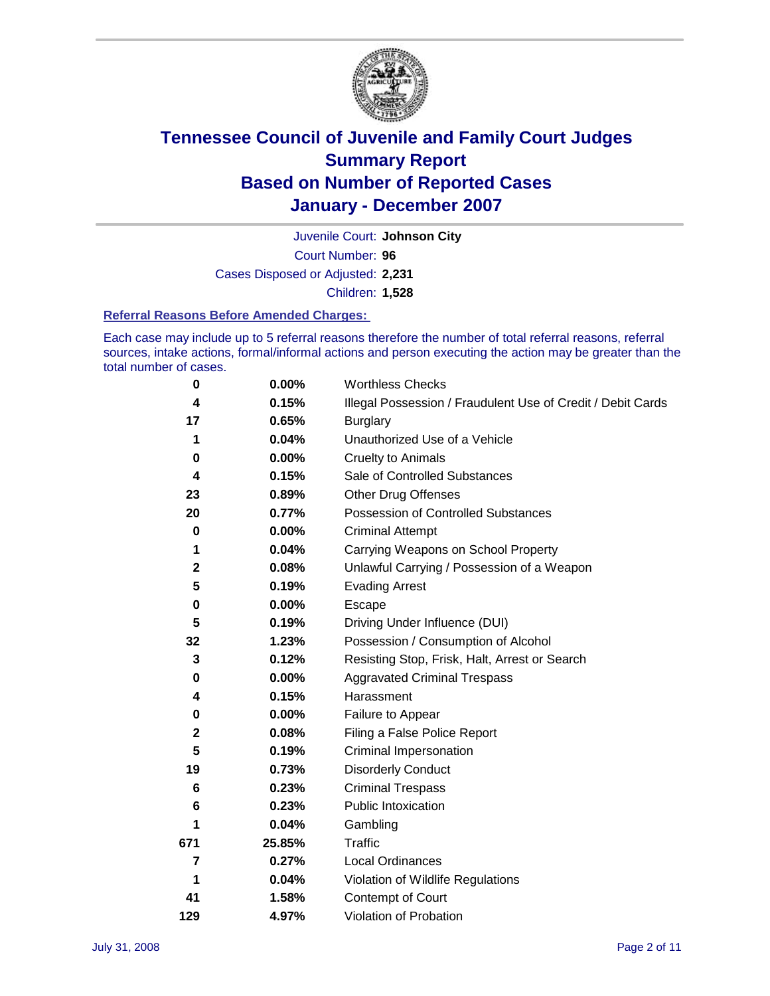

Court Number: **96** Juvenile Court: **Johnson City** Cases Disposed or Adjusted: **2,231** Children: **1,528**

#### **Referral Reasons Before Amended Charges:**

Each case may include up to 5 referral reasons therefore the number of total referral reasons, referral sources, intake actions, formal/informal actions and person executing the action may be greater than the total number of cases.

| 0           | 0.00%    | <b>Worthless Checks</b>                                     |
|-------------|----------|-------------------------------------------------------------|
| 4           | 0.15%    | Illegal Possession / Fraudulent Use of Credit / Debit Cards |
| 17          | 0.65%    | <b>Burglary</b>                                             |
| 1           | 0.04%    | Unauthorized Use of a Vehicle                               |
| 0           | 0.00%    | <b>Cruelty to Animals</b>                                   |
| 4           | 0.15%    | Sale of Controlled Substances                               |
| 23          | 0.89%    | <b>Other Drug Offenses</b>                                  |
| 20          | 0.77%    | Possession of Controlled Substances                         |
| $\mathbf 0$ | $0.00\%$ | <b>Criminal Attempt</b>                                     |
| 1           | 0.04%    | Carrying Weapons on School Property                         |
| $\mathbf 2$ | 0.08%    | Unlawful Carrying / Possession of a Weapon                  |
| 5           | 0.19%    | <b>Evading Arrest</b>                                       |
| 0           | 0.00%    | Escape                                                      |
| 5           | 0.19%    | Driving Under Influence (DUI)                               |
| 32          | 1.23%    | Possession / Consumption of Alcohol                         |
| 3           | 0.12%    | Resisting Stop, Frisk, Halt, Arrest or Search               |
| 0           | 0.00%    | <b>Aggravated Criminal Trespass</b>                         |
| 4           | 0.15%    | Harassment                                                  |
| 0           | 0.00%    | Failure to Appear                                           |
| $\mathbf 2$ | 0.08%    | Filing a False Police Report                                |
| 5           | 0.19%    | Criminal Impersonation                                      |
| 19          | 0.73%    | <b>Disorderly Conduct</b>                                   |
| 6           | 0.23%    | <b>Criminal Trespass</b>                                    |
| 6           | 0.23%    | <b>Public Intoxication</b>                                  |
|             | 0.04%    | Gambling                                                    |
| 671         | 25.85%   | Traffic                                                     |
| 7           | 0.27%    | <b>Local Ordinances</b>                                     |
| 1           | 0.04%    | Violation of Wildlife Regulations                           |
| 41          | 1.58%    | Contempt of Court                                           |
| 129         | 4.97%    | Violation of Probation                                      |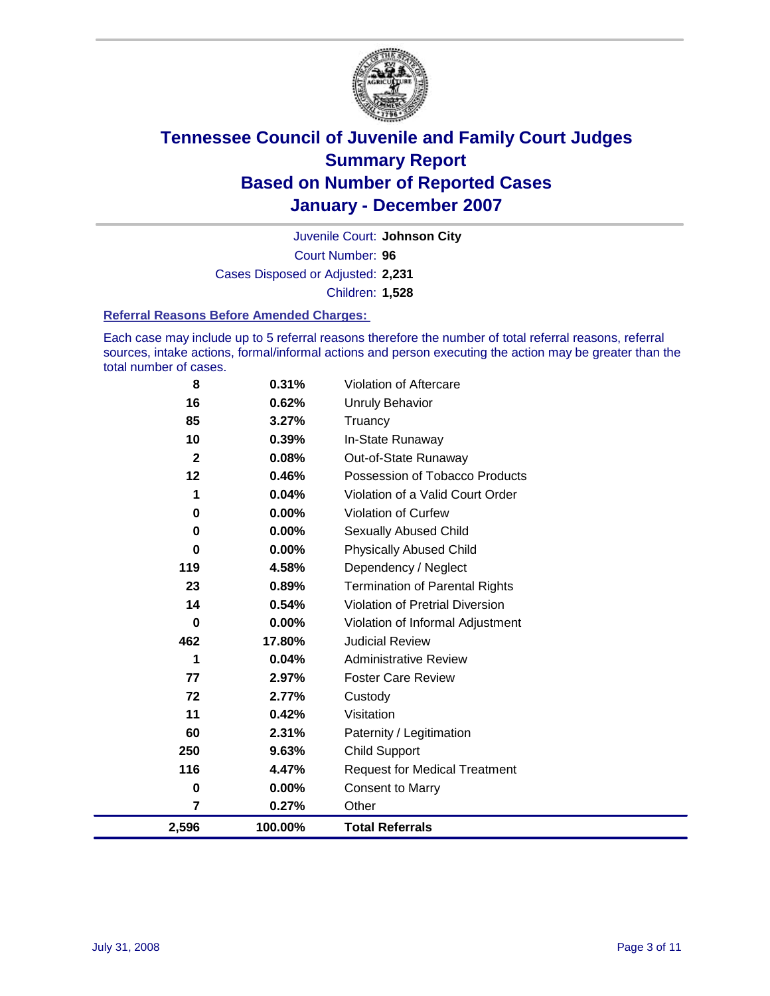

Court Number: **96** Juvenile Court: **Johnson City** Cases Disposed or Adjusted: **2,231** Children: **1,528**

#### **Referral Reasons Before Amended Charges:**

Each case may include up to 5 referral reasons therefore the number of total referral reasons, referral sources, intake actions, formal/informal actions and person executing the action may be greater than the total number of cases.

| 2,596        | 100.00%  | <b>Total Referrals</b>                 |
|--------------|----------|----------------------------------------|
| 7            | 0.27%    | Other                                  |
| 0            | 0.00%    | <b>Consent to Marry</b>                |
| 116          | 4.47%    | <b>Request for Medical Treatment</b>   |
| 250          | 9.63%    | <b>Child Support</b>                   |
| 60           | 2.31%    | Paternity / Legitimation               |
| 11           | 0.42%    | Visitation                             |
| 72           | 2.77%    | Custody                                |
| 77           | 2.97%    | <b>Foster Care Review</b>              |
| 1            | 0.04%    | <b>Administrative Review</b>           |
| 462          | 17.80%   | <b>Judicial Review</b>                 |
| 0            | $0.00\%$ | Violation of Informal Adjustment       |
| 14           | 0.54%    | <b>Violation of Pretrial Diversion</b> |
| 23           | 0.89%    | <b>Termination of Parental Rights</b>  |
| 119          | 4.58%    | Dependency / Neglect                   |
| $\bf{0}$     | 0.00%    | <b>Physically Abused Child</b>         |
| 0            | 0.00%    | <b>Sexually Abused Child</b>           |
| 0            | 0.00%    | Violation of Curfew                    |
| 1            | 0.04%    | Violation of a Valid Court Order       |
| 12           | 0.46%    | Possession of Tobacco Products         |
| $\mathbf{2}$ | 0.08%    | Out-of-State Runaway                   |
| 10           | 0.39%    | In-State Runaway                       |
| 85           | 3.27%    | Truancy                                |
| 16           | 0.62%    | Unruly Behavior                        |
| 8            | 0.31%    | Violation of Aftercare                 |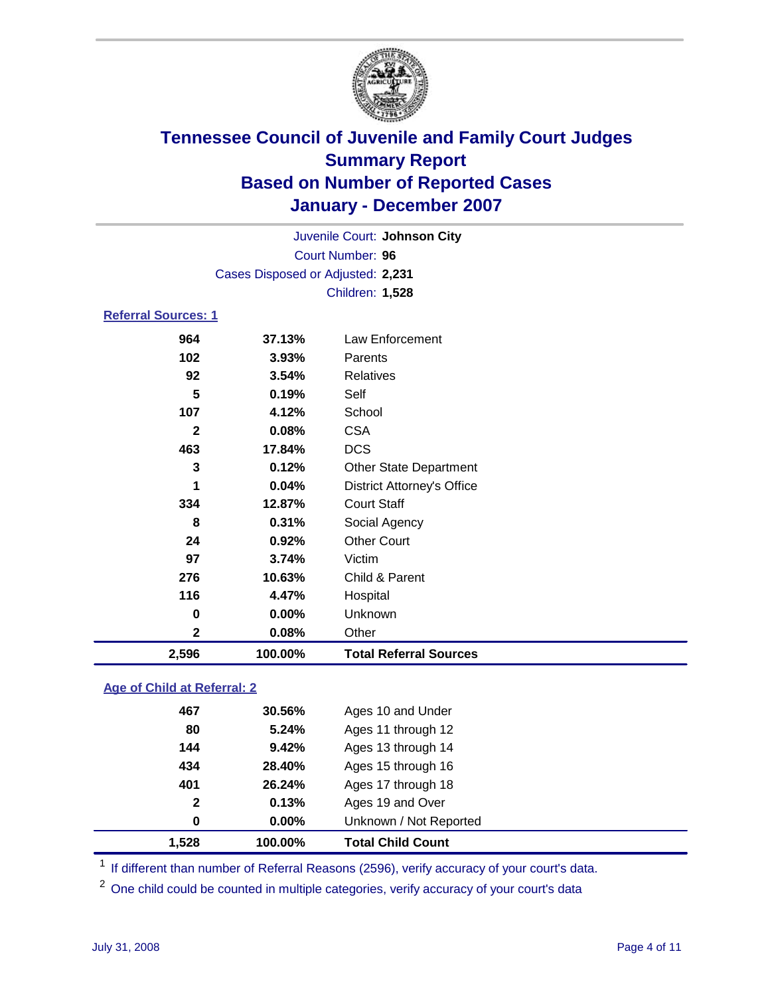

Court Number: **96** Juvenile Court: **Johnson City** Cases Disposed or Adjusted: **2,231** Children: **1,528**

### **Referral Sources: 1**

| 2,596        | 100.00% | <b>Total Referral Sources</b>     |
|--------------|---------|-----------------------------------|
| $\mathbf 2$  | 0.08%   | Other                             |
| 0            | 0.00%   | Unknown                           |
| 116          | 4.47%   | Hospital                          |
| 276          | 10.63%  | Child & Parent                    |
| 97           | 3.74%   | Victim                            |
| 24           | 0.92%   | <b>Other Court</b>                |
| 8            | 0.31%   | Social Agency                     |
| 334          | 12.87%  | <b>Court Staff</b>                |
| 1            | 0.04%   | <b>District Attorney's Office</b> |
| 3            | 0.12%   | <b>Other State Department</b>     |
| 463          | 17.84%  | <b>DCS</b>                        |
| $\mathbf{2}$ | 0.08%   | <b>CSA</b>                        |
| 107          | 4.12%   | School                            |
| 5            | 0.19%   | Self                              |
| 92           | 3.54%   | Relatives                         |
| 102          | 3.93%   | Parents                           |
|              | 37.13%  | Law Enforcement                   |
|              | 964     |                                   |

### **Age of Child at Referral: 2**

| 1.528 | 100.00%               | <b>Total Child Count</b> |
|-------|-----------------------|--------------------------|
|       | 0.00%<br>0            | Unknown / Not Reported   |
|       | 0.13%<br>$\mathbf{2}$ | Ages 19 and Over         |
|       | 401<br>26.24%         | Ages 17 through 18       |
|       | 434<br>28.40%         | Ages 15 through 16       |
|       | 9.42%<br>144          | Ages 13 through 14       |
|       | 5.24%<br>80           | Ages 11 through 12       |
|       | 467<br>30.56%         | Ages 10 and Under        |
|       |                       |                          |

<sup>1</sup> If different than number of Referral Reasons (2596), verify accuracy of your court's data.

<sup>2</sup> One child could be counted in multiple categories, verify accuracy of your court's data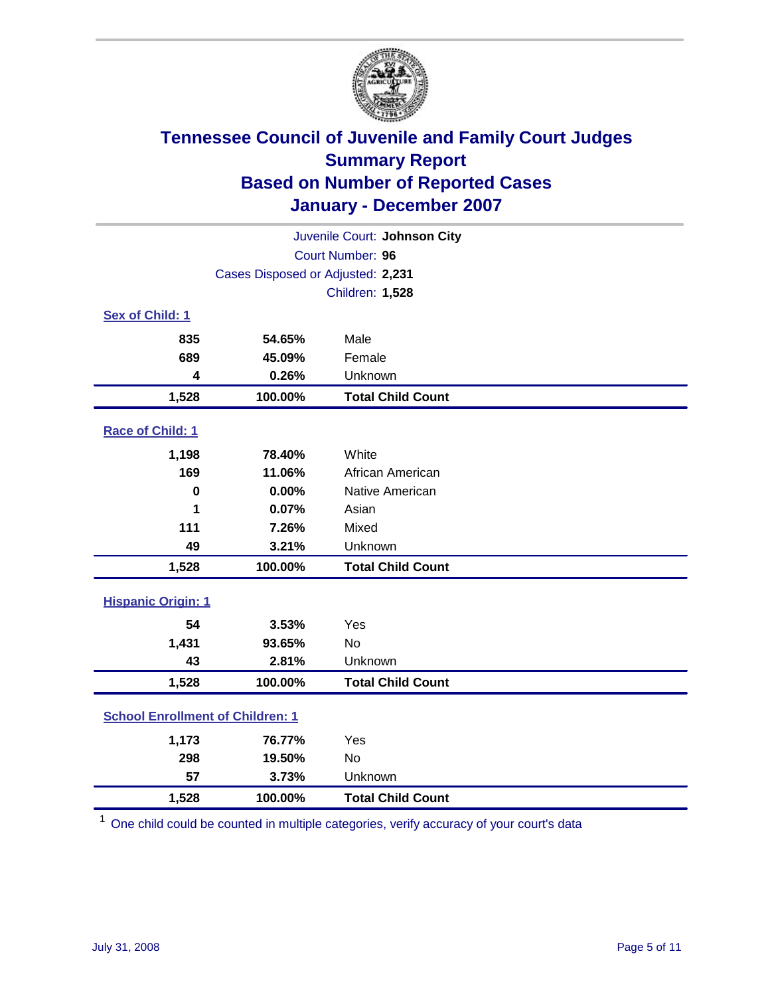

| Juvenile Court: Johnson City            |                                   |                          |  |  |
|-----------------------------------------|-----------------------------------|--------------------------|--|--|
| Court Number: 96                        |                                   |                          |  |  |
|                                         | Cases Disposed or Adjusted: 2,231 |                          |  |  |
|                                         |                                   | Children: 1,528          |  |  |
| Sex of Child: 1                         |                                   |                          |  |  |
| 835                                     | 54.65%                            | Male                     |  |  |
| 689                                     | 45.09%                            | Female                   |  |  |
| 4                                       | 0.26%                             | Unknown                  |  |  |
| 1,528                                   | 100.00%                           | <b>Total Child Count</b> |  |  |
| Race of Child: 1                        |                                   |                          |  |  |
| 1,198                                   | 78.40%                            | White                    |  |  |
| 169                                     | 11.06%                            | African American         |  |  |
| $\mathbf 0$                             | 0.00%                             | Native American          |  |  |
| 1                                       | 0.07%                             | Asian                    |  |  |
| 111                                     | 7.26%                             | Mixed                    |  |  |
| 49                                      | 3.21%                             | Unknown                  |  |  |
| 1,528                                   | 100.00%                           | <b>Total Child Count</b> |  |  |
| <b>Hispanic Origin: 1</b>               |                                   |                          |  |  |
| 54                                      | 3.53%                             | Yes                      |  |  |
| 1,431                                   | 93.65%                            | <b>No</b>                |  |  |
| 43                                      | 2.81%                             | Unknown                  |  |  |
| 1,528                                   | 100.00%                           | <b>Total Child Count</b> |  |  |
| <b>School Enrollment of Children: 1</b> |                                   |                          |  |  |
| 1,173                                   | 76.77%                            | Yes                      |  |  |
| 298                                     | 19.50%                            | <b>No</b>                |  |  |
| 57                                      | 3.73%                             | Unknown                  |  |  |
| 1,528                                   | 100.00%                           | <b>Total Child Count</b> |  |  |

 $1$  One child could be counted in multiple categories, verify accuracy of your court's data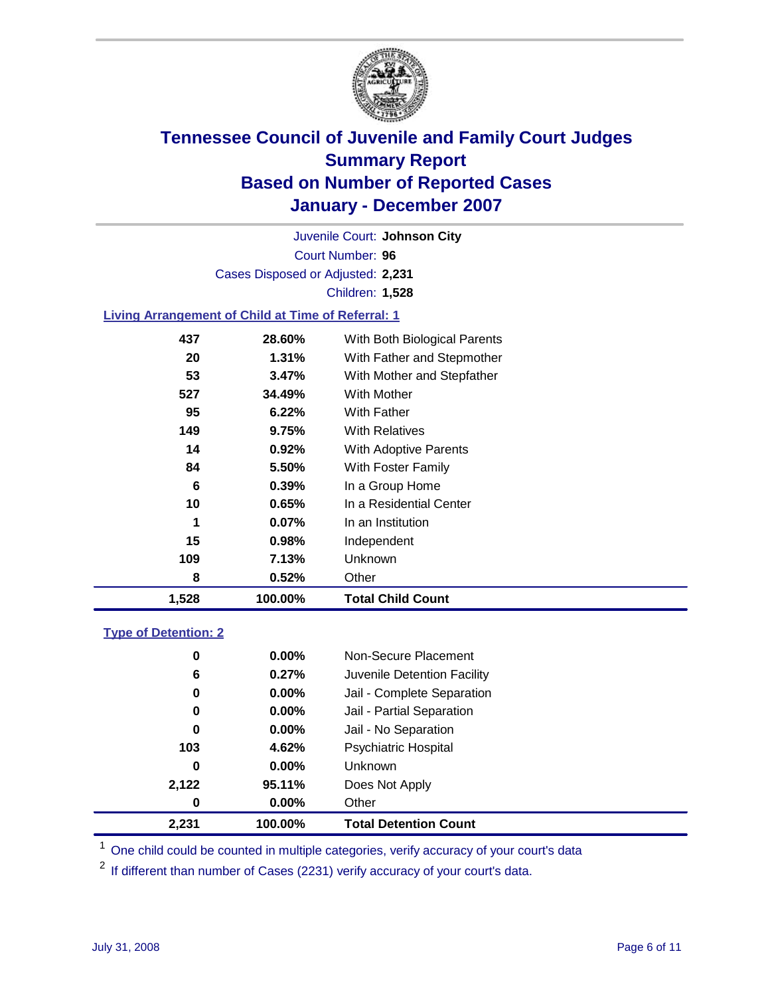

Court Number: **96** Juvenile Court: **Johnson City** Cases Disposed or Adjusted: **2,231** Children: **1,528**

### **Living Arrangement of Child at Time of Referral: 1**

| 1,528 | 100.00%  | <b>Total Child Count</b>     |
|-------|----------|------------------------------|
| 8     | 0.52%    | Other                        |
| 109   | 7.13%    | <b>Unknown</b>               |
| 15    | $0.98\%$ | Independent                  |
| 1     | 0.07%    | In an Institution            |
| 10    | $0.65\%$ | In a Residential Center      |
| 6     | $0.39\%$ | In a Group Home              |
| 84    | 5.50%    | With Foster Family           |
| 14    | 0.92%    | With Adoptive Parents        |
| 149   | 9.75%    | <b>With Relatives</b>        |
| 95    | 6.22%    | <b>With Father</b>           |
| 527   | 34.49%   | With Mother                  |
| 53    | 3.47%    | With Mother and Stepfather   |
| 20    | $1.31\%$ | With Father and Stepmother   |
| 437   | 28.60%   | With Both Biological Parents |
|       |          |                              |

#### **Type of Detention: 2**

| 2,231 | 100.00%  | <b>Total Detention Count</b> |
|-------|----------|------------------------------|
| 0     | $0.00\%$ | Other                        |
| 2,122 | 95.11%   | Does Not Apply               |
| 0     | $0.00\%$ | <b>Unknown</b>               |
| 103   | 4.62%    | <b>Psychiatric Hospital</b>  |
| 0     | 0.00%    | Jail - No Separation         |
| 0     | $0.00\%$ | Jail - Partial Separation    |
| 0     | $0.00\%$ | Jail - Complete Separation   |
| 6     | 0.27%    | Juvenile Detention Facility  |
| 0     | $0.00\%$ | Non-Secure Placement         |
|       |          |                              |

<sup>1</sup> One child could be counted in multiple categories, verify accuracy of your court's data

<sup>2</sup> If different than number of Cases (2231) verify accuracy of your court's data.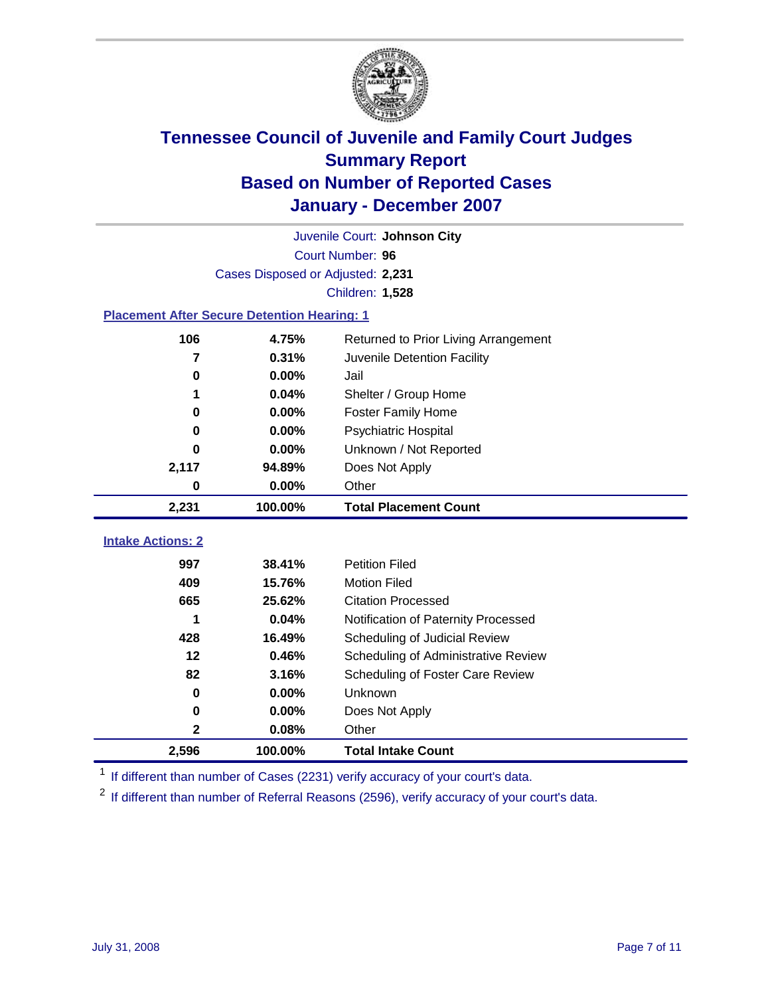

|                                                    | Juvenile Court: Johnson City      |                                      |  |  |  |
|----------------------------------------------------|-----------------------------------|--------------------------------------|--|--|--|
|                                                    | Court Number: 96                  |                                      |  |  |  |
|                                                    | Cases Disposed or Adjusted: 2,231 |                                      |  |  |  |
|                                                    |                                   | Children: 1,528                      |  |  |  |
| <b>Placement After Secure Detention Hearing: 1</b> |                                   |                                      |  |  |  |
| 106                                                | 4.75%                             | Returned to Prior Living Arrangement |  |  |  |
| 7                                                  | 0.31%                             | Juvenile Detention Facility          |  |  |  |
| $\bf{0}$                                           | 0.00%                             | Jail                                 |  |  |  |
| 1                                                  | 0.04%                             | Shelter / Group Home                 |  |  |  |
| 0                                                  | 0.00%                             | <b>Foster Family Home</b>            |  |  |  |
| $\bf{0}$                                           | 0.00%                             | Psychiatric Hospital                 |  |  |  |
| 0                                                  | 0.00%                             | Unknown / Not Reported               |  |  |  |
| 2,117                                              | 94.89%                            | Does Not Apply                       |  |  |  |
| 0                                                  | 0.00%                             | Other                                |  |  |  |
| 2,231                                              | 100.00%                           | <b>Total Placement Count</b>         |  |  |  |
|                                                    |                                   |                                      |  |  |  |
| <b>Intake Actions: 2</b>                           |                                   |                                      |  |  |  |
| 997                                                | 38.41%                            | <b>Petition Filed</b>                |  |  |  |
| 409                                                | 15.76%                            | <b>Motion Filed</b>                  |  |  |  |
| 665                                                | 25.62%                            | <b>Citation Processed</b>            |  |  |  |
| 1                                                  | 0.04%                             | Notification of Paternity Processed  |  |  |  |
| 428                                                | 16.49%                            | Scheduling of Judicial Review        |  |  |  |
| 12                                                 | 0.46%                             | Scheduling of Administrative Review  |  |  |  |
| 82                                                 | 3.16%                             | Scheduling of Foster Care Review     |  |  |  |
| $\bf{0}$                                           | 0.00%                             | Unknown                              |  |  |  |
| 0                                                  | 0.00%                             | Does Not Apply                       |  |  |  |
| $\mathbf 2$                                        | 0.08%                             | Other                                |  |  |  |
| 2,596                                              | 100.00%                           | <b>Total Intake Count</b>            |  |  |  |

<sup>1</sup> If different than number of Cases (2231) verify accuracy of your court's data.

<sup>2</sup> If different than number of Referral Reasons (2596), verify accuracy of your court's data.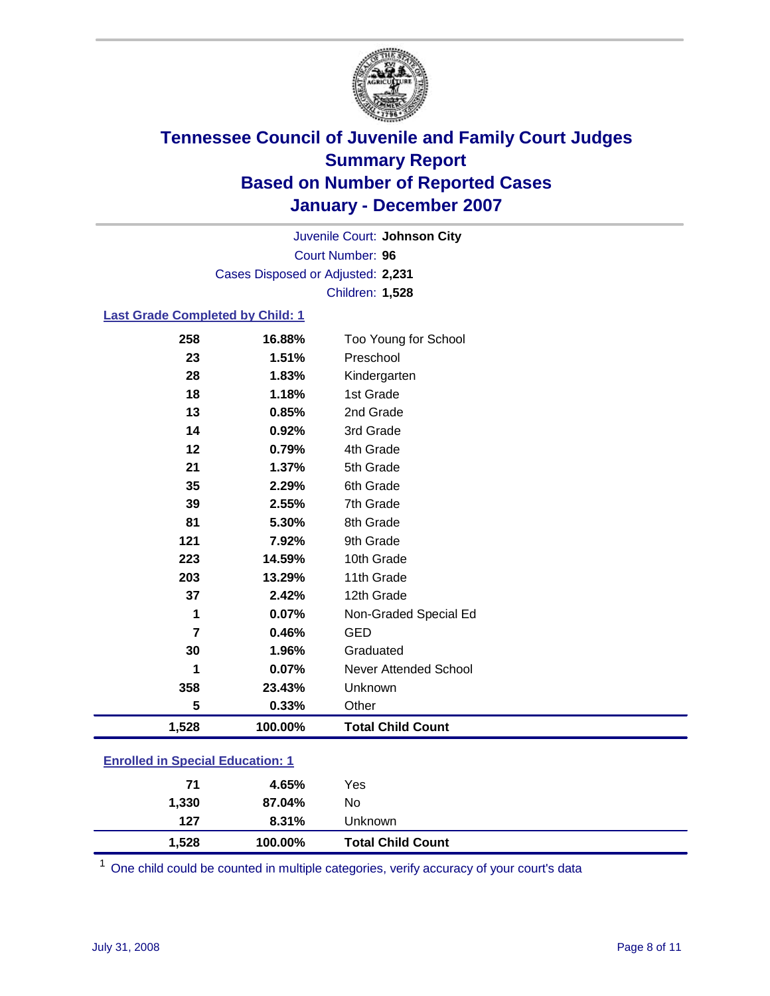

Court Number: **96** Juvenile Court: **Johnson City** Cases Disposed or Adjusted: **2,231** Children: **1,528**

### **Last Grade Completed by Child: 1**

| 258            | 16.88%  | Too Young for School     |
|----------------|---------|--------------------------|
| 23             | 1.51%   | Preschool                |
| 28             | 1.83%   | Kindergarten             |
| 18             | 1.18%   | 1st Grade                |
| 13             | 0.85%   | 2nd Grade                |
| 14             | 0.92%   | 3rd Grade                |
| 12             | 0.79%   | 4th Grade                |
| 21             | 1.37%   | 5th Grade                |
| 35             | 2.29%   | 6th Grade                |
| 39             | 2.55%   | 7th Grade                |
| 81             | 5.30%   | 8th Grade                |
| 121            | 7.92%   | 9th Grade                |
| 223            | 14.59%  | 10th Grade               |
| 203            | 13.29%  | 11th Grade               |
| 37             | 2.42%   | 12th Grade               |
| 1              | 0.07%   | Non-Graded Special Ed    |
| $\overline{7}$ | 0.46%   | <b>GED</b>               |
| 30             | 1.96%   | Graduated                |
| 1              | 0.07%   | Never Attended School    |
| 358            | 23.43%  | Unknown                  |
| 5              | 0.33%   | Other                    |
| 1,528          | 100.00% | <b>Total Child Count</b> |

### **Enrolled in Special Education: 1**

| 1,528        | 100.00%            | <b>Total Child Count</b> |
|--------------|--------------------|--------------------------|
| 1,330<br>127 | 87.04%<br>$8.31\%$ | No<br>Unknown            |
| 71           | 4.65%              | Yes                      |

<sup>1</sup> One child could be counted in multiple categories, verify accuracy of your court's data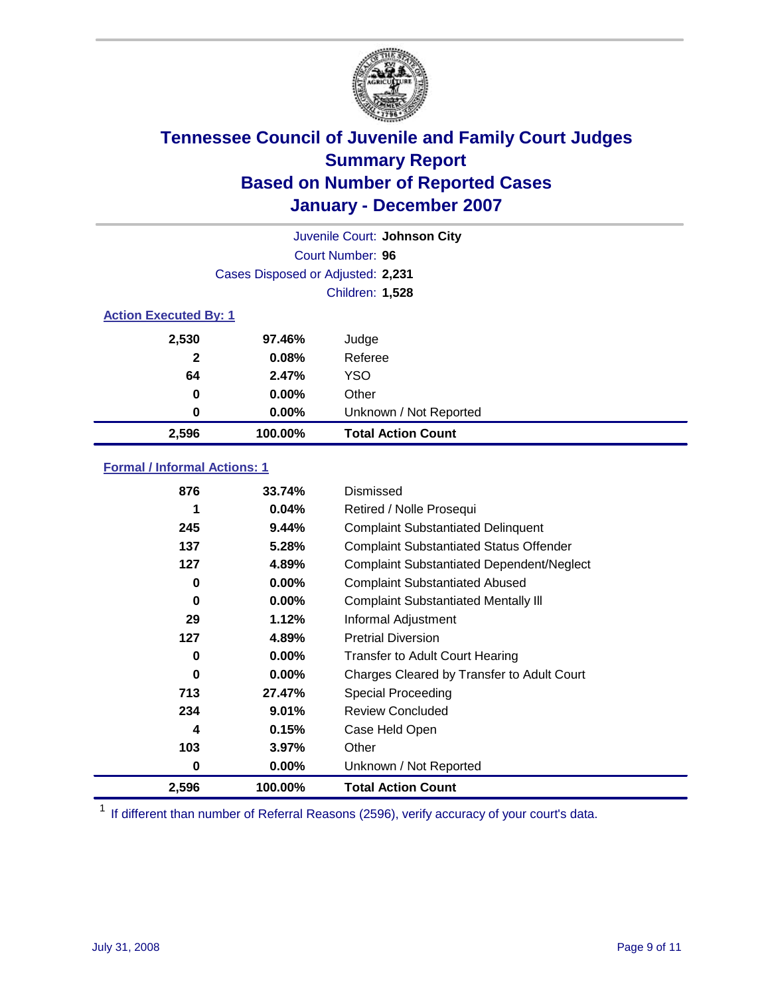

| Juvenile Court: Johnson City |                                   |                           |  |  |  |
|------------------------------|-----------------------------------|---------------------------|--|--|--|
|                              | Court Number: 96                  |                           |  |  |  |
|                              | Cases Disposed or Adjusted: 2,231 |                           |  |  |  |
|                              | <b>Children: 1,528</b>            |                           |  |  |  |
|                              | <b>Action Executed By: 1</b>      |                           |  |  |  |
| 2,530                        | 97.46%                            | Judge                     |  |  |  |
| $\mathbf{2}$                 | 0.08%                             | Referee                   |  |  |  |
| 64                           | 2.47%                             | <b>YSO</b>                |  |  |  |
| 0                            | $0.00\%$                          | Other                     |  |  |  |
| 0                            | $0.00\%$                          | Unknown / Not Reported    |  |  |  |
| 2,596                        | 100.00%                           | <b>Total Action Count</b> |  |  |  |

### **Formal / Informal Actions: 1**

| 876   | 33.74%   | Dismissed                                        |
|-------|----------|--------------------------------------------------|
|       | 0.04%    | Retired / Nolle Prosequi                         |
| 245   | 9.44%    | <b>Complaint Substantiated Delinquent</b>        |
| 137   | 5.28%    | <b>Complaint Substantiated Status Offender</b>   |
| 127   | 4.89%    | <b>Complaint Substantiated Dependent/Neglect</b> |
| 0     | $0.00\%$ | <b>Complaint Substantiated Abused</b>            |
| 0     | 0.00%    | <b>Complaint Substantiated Mentally III</b>      |
| 29    | 1.12%    | Informal Adjustment                              |
| 127   | 4.89%    | <b>Pretrial Diversion</b>                        |
| 0     | 0.00%    | <b>Transfer to Adult Court Hearing</b>           |
| 0     | $0.00\%$ | Charges Cleared by Transfer to Adult Court       |
| 713   | 27.47%   | Special Proceeding                               |
| 234   | 9.01%    | <b>Review Concluded</b>                          |
| 4     | 0.15%    | Case Held Open                                   |
| 103   | 3.97%    | Other                                            |
| 0     | $0.00\%$ | Unknown / Not Reported                           |
| 2,596 | 100.00%  | <b>Total Action Count</b>                        |

<sup>1</sup> If different than number of Referral Reasons (2596), verify accuracy of your court's data.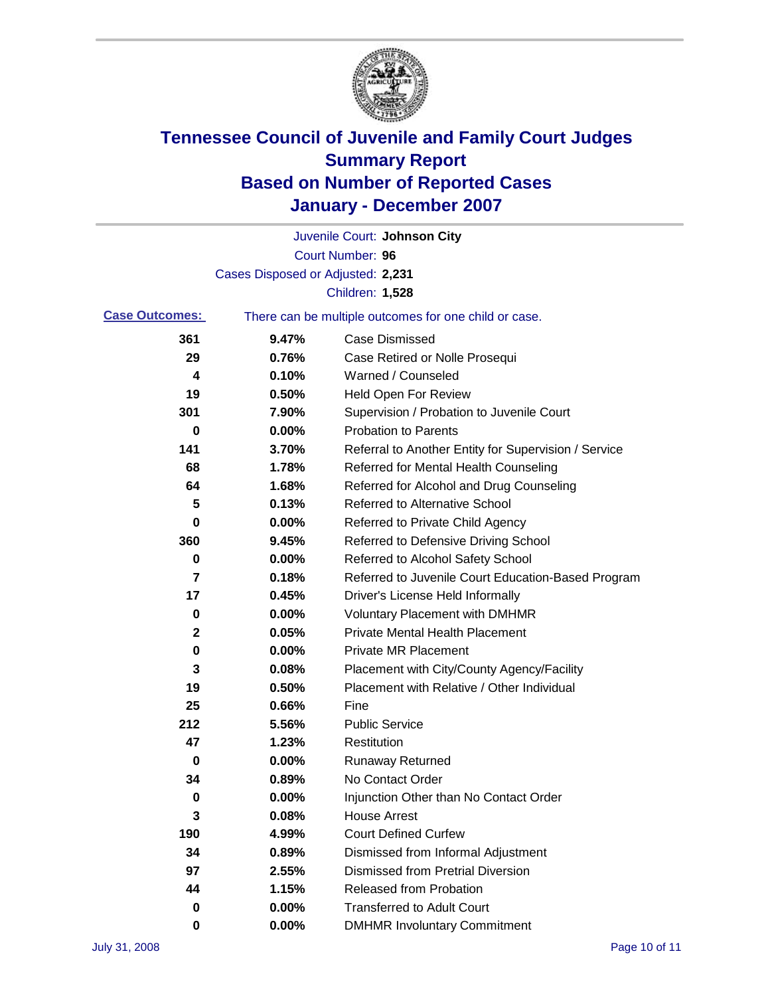

|                       |                                   | Juvenile Court: Johnson City                          |
|-----------------------|-----------------------------------|-------------------------------------------------------|
|                       |                                   | Court Number: 96                                      |
|                       | Cases Disposed or Adjusted: 2,231 |                                                       |
|                       |                                   | Children: 1,528                                       |
| <b>Case Outcomes:</b> |                                   | There can be multiple outcomes for one child or case. |
| 361                   | 9.47%                             | <b>Case Dismissed</b>                                 |
| 29                    | 0.76%                             | Case Retired or Nolle Prosequi                        |
| 4                     | 0.10%                             | Warned / Counseled                                    |
| 19                    | 0.50%                             | <b>Held Open For Review</b>                           |
| 301                   | 7.90%                             | Supervision / Probation to Juvenile Court             |
| 0                     | 0.00%                             | <b>Probation to Parents</b>                           |
| 141                   | 3.70%                             | Referral to Another Entity for Supervision / Service  |
| 68                    | 1.78%                             | Referred for Mental Health Counseling                 |
| 64                    | 1.68%                             | Referred for Alcohol and Drug Counseling              |
| 5                     | 0.13%                             | <b>Referred to Alternative School</b>                 |
| 0                     | 0.00%                             | Referred to Private Child Agency                      |
| 360                   | 9.45%                             | Referred to Defensive Driving School                  |
| 0                     | 0.00%                             | Referred to Alcohol Safety School                     |
| 7                     | 0.18%                             | Referred to Juvenile Court Education-Based Program    |
| 17                    | 0.45%                             | Driver's License Held Informally                      |
| 0                     | 0.00%                             | <b>Voluntary Placement with DMHMR</b>                 |
| 2                     | 0.05%                             | <b>Private Mental Health Placement</b>                |
| $\bf{0}$              | 0.00%                             | <b>Private MR Placement</b>                           |
| 3                     | 0.08%                             | Placement with City/County Agency/Facility            |
| 19                    | 0.50%                             | Placement with Relative / Other Individual            |
| 25                    | 0.66%                             | Fine                                                  |
| 212                   | 5.56%                             | <b>Public Service</b>                                 |
| 47                    | 1.23%                             | Restitution                                           |
| 0                     | 0.00%                             | <b>Runaway Returned</b>                               |
| 34                    | 0.89%                             | No Contact Order                                      |
| 0                     | 0.00%                             | Injunction Other than No Contact Order                |
| 3                     | 0.08%                             | <b>House Arrest</b>                                   |
| 190                   | 4.99%                             | <b>Court Defined Curfew</b>                           |
| 34                    | 0.89%                             | Dismissed from Informal Adjustment                    |
| 97                    | 2.55%                             | <b>Dismissed from Pretrial Diversion</b>              |
| 44                    | 1.15%                             | <b>Released from Probation</b>                        |
| 0                     | 0.00%                             | <b>Transferred to Adult Court</b>                     |
| 0                     | 0.00%                             | <b>DMHMR Involuntary Commitment</b>                   |